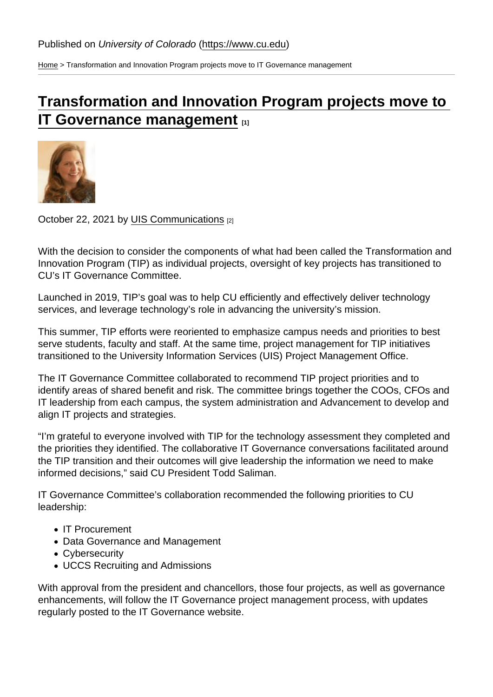[Home](https://www.cu.edu/) > Transformation and Innovation Program projects move to IT Governance management

## [Transformation and Innovation Program projects move to](https://www.cu.edu/blog/uis-news/transformation-and-innovation-program-projects-move-it-governance-management)  [IT Governance management](https://www.cu.edu/blog/uis-news/transformation-and-innovation-program-projects-move-it-governance-management) [1]

## October 22, 2021 by [UIS Communications](https://www.cu.edu/blog/uis-news/author/65709) [2]

With the decision to consider the components of what had been called the Transformation and Innovation Program (TIP) as individual projects, oversight of key projects has transitioned to CU's IT Governance Committee.

Launched in 2019, TIP's goal was to help CU efficiently and effectively deliver technology services, and leverage technology's role in advancing the university's mission.

This summer, TIP efforts were reoriented to emphasize campus needs and priorities to best serve students, faculty and staff. At the same time, project management for TIP initiatives transitioned to the University Information Services (UIS) Project Management Office.

The IT Governance Committee collaborated to recommend TIP project priorities and to identify areas of shared benefit and risk. The committee brings together the COOs, CFOs and IT leadership from each campus, the system administration and Advancement to develop and align IT projects and strategies.

"I'm grateful to everyone involved with TIP for the technology assessment they completed and the priorities they identified. The collaborative IT Governance conversations facilitated around the TIP transition and their outcomes will give leadership the information we need to make informed decisions," said CU President Todd Saliman.

IT Governance Committee's collaboration recommended the following priorities to CU leadership:

- IT Procurement
- Data Governance and Management
- Cybersecurity
- UCCS Recruiting and Admissions

With approval from the president and chancellors, those four projects, as well as governance enhancements, will follow the IT Governance project management process, with updates regularly posted to the IT Governance website.